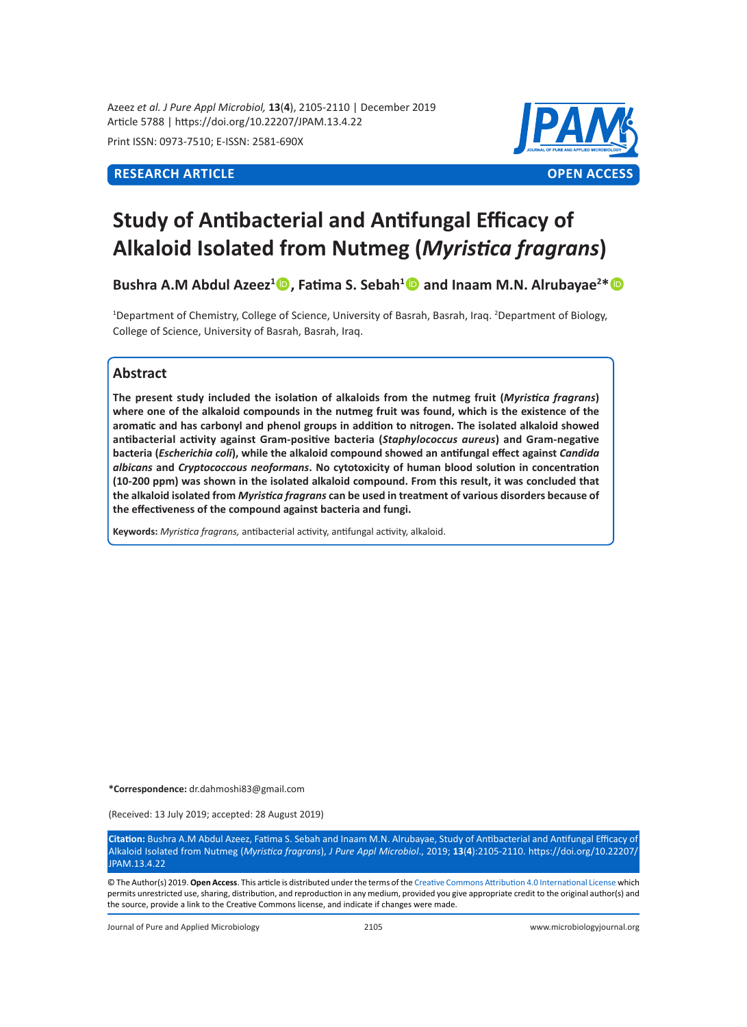Azeez *et al. J Pure Appl Microbiol,* **13**(**4**), 2105-2110 | December 2019 Article 5788 | https://doi.org/10.22207/JPAM.13.4.22

Print ISSN: 0973-7510; E-ISSN: 2581-690X



# **Study of Antibacterial and Antifungal Efficacy of Alkaloid Isolated from Nutmeg (***Myristica fragrans***)**

**Bushra A.M Abdul Azeez<sup>1</sup> , Fatima S. Sebah<sup>1</sup> and Inaam M.N. Alrubayae<sup>2</sup> \***

<sup>1</sup>Department of Chemistry, College of Science, University of Basrah, Basrah, Iraq. <sup>2</sup>Department of Biology, College of Science, University of Basrah, Basrah, Iraq.

# **Abstract**

**The present study included the isolation of alkaloids from the nutmeg fruit (***Myristica fragrans***) where one of the alkaloid compounds in the nutmeg fruit was found, which is the existence of the aromatic and has carbonyl and phenol groups in addition to nitrogen. The isolated alkaloid showed antibacterial activity against Gram-positive bacteria (***Staphylococcus aureus***) and Gram-negative bacteria (***Escherichia coli***), while the alkaloid compound showed an antifungal effect against** *Candida albicans* **and** *Cryptococcous neoformans***. No cytotoxicity of human blood solution in concentration (10-200 ppm) was shown in the isolated alkaloid compound. From this result, it was concluded that the alkaloid isolated from** *Myristica fragrans* **can be used in treatment of various disorders because of the effectiveness of the compound against bacteria and fungi.**

**Keywords:** *Myristica fragrans,* antibacterial activity, antifungal activity, alkaloid.

**\*Correspondence:** dr.dahmoshi83@gmail.com

(Received: 13 July 2019; accepted: 28 August 2019)

**Citation:** Bushra A.M Abdul Azeez, Fatima S. Sebah and Inaam M.N. Alrubayae, Study of Antibacterial and Antifungal Efficacy of Alkaloid Isolated from Nutmeg (*Myristica fragrans*), *J Pure Appl Microbiol*., 2019; **13**(**4**):2105-2110. https://doi.org/10.22207/ JPAM.13.4.22

© The Author(s) 2019. **Open Access**. This article is distributed under the terms of the [Creative Commons Attribution 4.0 International License](https://creativecommons.org/licenses/by/4.0/) which permits unrestricted use, sharing, distribution, and reproduction in any medium, provided you give appropriate credit to the original author(s) and the source, provide a link to the Creative Commons license, and indicate if changes were made.

Journal of Pure and Applied Microbiology 2105 www.microbiologyjournal.org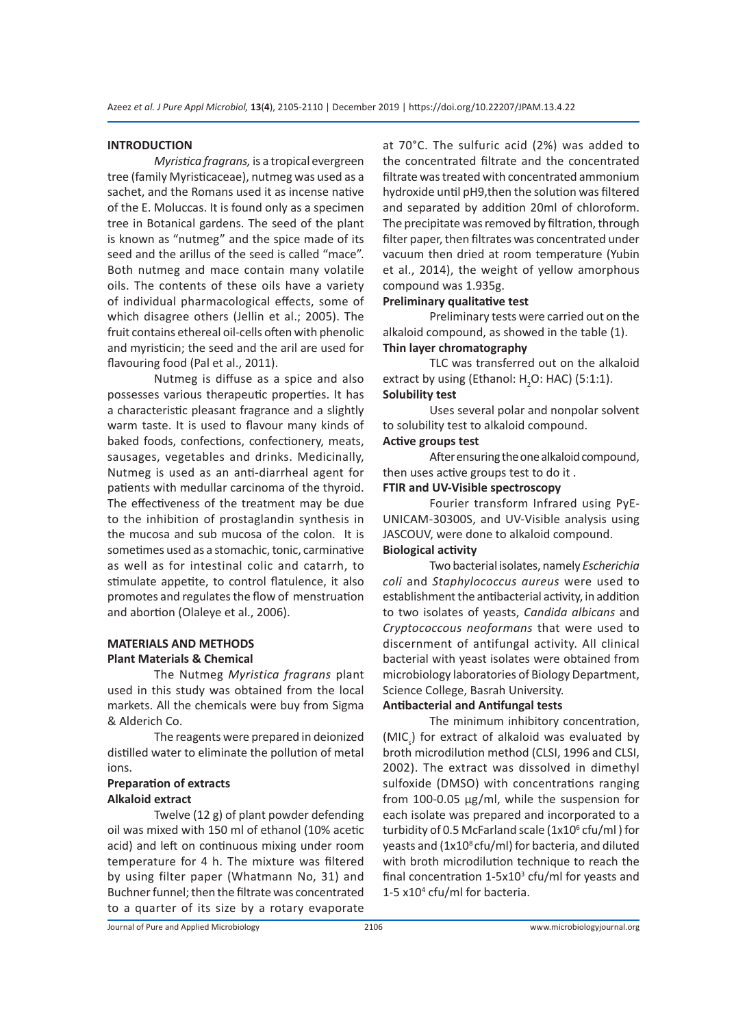#### **INTRODUCTION**

*Myristica fragrans,* is a tropical evergreen tree (family Myristicaceae), nutmeg was used as a sachet, and the Romans used it as incense native of the E. Moluccas. It is found only as a specimen tree in Botanical gardens. The seed of the plant is known as "nutmeg" and the spice made of its seed and the arillus of the seed is called "mace". Both nutmeg and mace contain many volatile oils. The contents of these oils have a variety of individual pharmacological effects, some of which disagree others (Jellin et al.; 2005). The fruit contains ethereal oil-cells often with phenolic and myristicin; the seed and the aril are used for flavouring food (Pal et al., 2011).

Nutmeg is diffuse as a spice and also possesses various therapeutic properties. It has a characteristic pleasant fragrance and a slightly warm taste. It is used to flavour many kinds of baked foods, confections, confectionery, meats, sausages, vegetables and drinks. Medicinally, Nutmeg is used as an anti-diarrheal agent for patients with medullar carcinoma of the thyroid. The effectiveness of the treatment may be due to the inhibition of prostaglandin synthesis in the mucosa and sub mucosa of the colon. It is sometimes used as a stomachic, tonic, carminative as well as for intestinal colic and catarrh, to stimulate appetite, to control flatulence, it also promotes and regulates the flow of menstruation and abortion (Olaleye et al., 2006).

## **MATERIALS AND METHODS Plant Materials & Chemical**

The Nutmeg *Myristica fragrans* plant used in this study was obtained from the local markets. All the chemicals were buy from Sigma & Alderich Co.

The reagents were prepared in deionized distilled water to eliminate the pollution of metal ions.

# **Preparation of extracts Alkaloid extract**

Twelve (12 g) of plant powder defending oil was mixed with 150 ml of ethanol (10% acetic acid) and left on continuous mixing under room temperature for 4 h. The mixture was filtered by using filter paper (Whatmann No, 31) and Buchner funnel; then the filtrate was concentrated to a quarter of its size by a rotary evaporate at 70°C. The sulfuric acid (2%) was added to the concentrated filtrate and the concentrated filtrate was treated with concentrated ammonium hydroxide until pH9,then the solution was filtered and separated by addition 20ml of chloroform. The precipitate was removed by filtration, through filter paper, then filtrates was concentrated under vacuum then dried at room temperature (Yubin et al., 2014), the weight of yellow amorphous compound was 1.935g.

# **Preliminary qualitative test**

Preliminary tests were carried out on the alkaloid compound, as showed in the table (1). **Thin layer chromatography**

TLC was transferred out on the alkaloid extract by using (Ethanol:  $H_2O$ : HAC) (5:1:1). **Solubility test**

Uses several polar and nonpolar solvent to solubility test to alkaloid compound.

# **Active groups test**

After ensuring the one alkaloid compound, then uses active groups test to do it .

# **FTIR and UV-Visible spectroscopy**

Fourier transform Infrared using PyE-UNICAM-30300S, and UV-Visible analysis using JASCOUV, were done to alkaloid compound. **Biological activity**

Two bacterial isolates, namely *Escherichia coli* and *Staphylococcus aureus* were used to establishment the antibacterial activity, in addition to two isolates of yeasts, *Candida albicans* and *Cryptococcous neoformans* that were used to discernment of antifungal activity. All clinical bacterial with yeast isolates were obtained from microbiology laboratories of Biology Department, Science College, Basrah University.

# **Antibacterial and Antifungal tests**

The minimum inhibitory concentration, (MIC<sub>s</sub>) for extract of alkaloid was evaluated by broth microdilution method (CLSI, 1996 and CLSI, 2002). The extract was dissolved in dimethyl sulfoxide (DMSO) with concentrations ranging from 100-0.05 µg/ml, while the suspension for each isolate was prepared and incorporated to a turbidity of 0.5 McFarland scale (1x10<sup>6</sup> cfu/ml) for yeasts and (1x10<sup>8</sup> cfu/ml) for bacteria, and diluted with broth microdilution technique to reach the final concentration  $1$ -5x10<sup>3</sup> cfu/ml for yeasts and 1-5 x104 cfu/ml for bacteria.

Journal of Pure and Applied Microbiology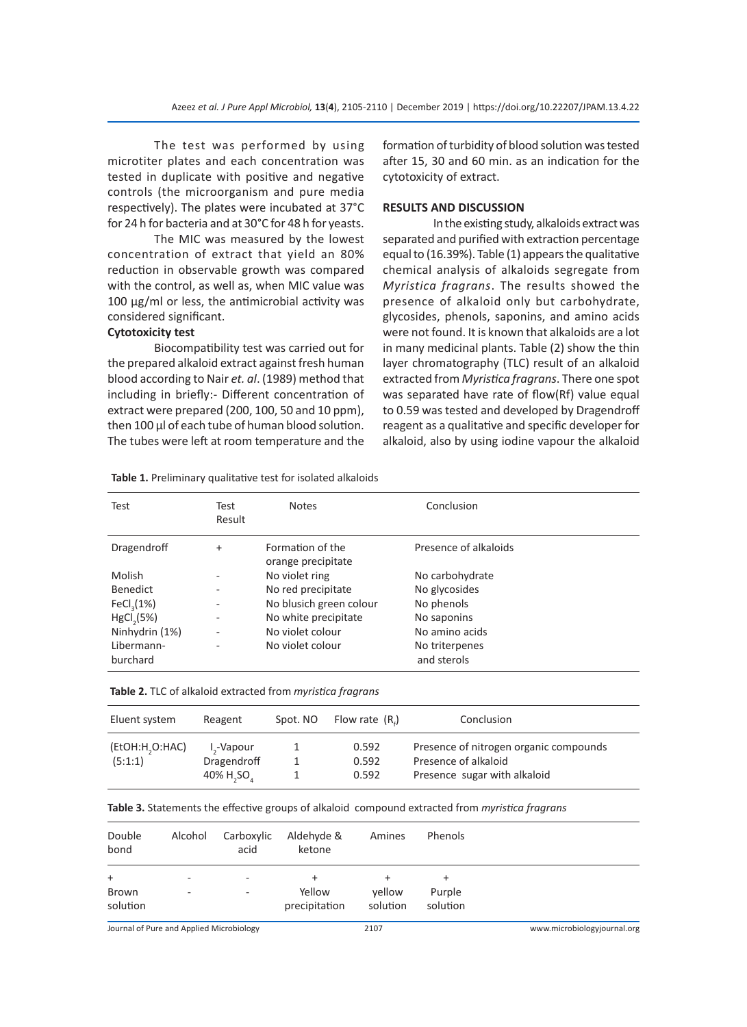The test was performed by using microtiter plates and each concentration was tested in duplicate with positive and negative controls (the microorganism and pure media respectively). The plates were incubated at 37°C for 24 h for bacteria and at 30°C for 48 h for yeasts.

The MIC was measured by the lowest concentration of extract that yield an 80% reduction in observable growth was compared with the control, as well as, when MIC value was 100 µg/ml or less, the antimicrobial activity was considered significant.

#### **Cytotoxicity test**

Biocompatibility test was carried out for the prepared alkaloid extract against fresh human blood according to Nair *et. al*. (1989) method that including in briefly:- Different concentration of extract were prepared (200, 100, 50 and 10 ppm), then 100 µl of each tube of human blood solution. The tubes were left at room temperature and the

formation of turbidity of blood solution was tested after 15, 30 and 60 min. as an indication for the cytotoxicity of extract.

#### **RESULTS AND DISCUSSION**

 In the existing study, alkaloids extract was separated and purified with extraction percentage equal to (16.39%). Table (1) appears the qualitative chemical analysis of alkaloids segregate from *Myristica fragrans*. The results showed the presence of alkaloid only but carbohydrate, glycosides, phenols, saponins, and amino acids were not found. It is known that alkaloids are a lot in many medicinal plants. Table (2) show the thin layer chromatography (TLC) result of an alkaloid extracted from *Myristica fragrans*. There one spot was separated have rate of flow(Rf) value equal to 0.59 was tested and developed by Dragendroff reagent as a qualitative and specific developer for alkaloid, also by using iodine vapour the alkaloid

| Test                   | Test<br>Result | <b>Notes</b>                           | Conclusion                    |
|------------------------|----------------|----------------------------------------|-------------------------------|
| Dragendroff            | $+$            | Formation of the<br>orange precipitate | Presence of alkaloids         |
| Molish                 | ۰              | No violet ring                         | No carbohydrate               |
| <b>Benedict</b>        | ۰              | No red precipitate                     | No glycosides                 |
| FeCl <sub>3</sub> (1%) | ۰              | No blusich green colour                | No phenols                    |
| HgCl <sub>2</sub> (5%) | ۰              | No white precipitate                   | No saponins                   |
| Ninhydrin (1%)         | ۰              | No violet colour                       | No amino acids                |
| Libermann-<br>burchard |                | No violet colour                       | No triterpenes<br>and sterols |

**Table 1.** Preliminary qualitative test for isolated alkaloids

| Table 2. TLC of alkaloid extracted from myristica fragrans |  |
|------------------------------------------------------------|--|
|------------------------------------------------------------|--|

| Eluent system             | Reagent                                            | Spot. NO | Flow rate $(Ri)$        | Conclusion                                                                                     |
|---------------------------|----------------------------------------------------|----------|-------------------------|------------------------------------------------------------------------------------------------|
| (EtOH:H,O:HAC)<br>(5:1:1) | I <sub>s</sub> -Vapour<br>Dragendroff<br>40% H, SO |          | 0.592<br>0.592<br>0.592 | Presence of nitrogen organic compounds<br>Presence of alkaloid<br>Presence sugar with alkaloid |

| Double<br>bond    | Alcohol                  | Carboxylic<br>acid | Aldehyde &<br>ketone    | Amines             | Phenols            |  |
|-------------------|--------------------------|--------------------|-------------------------|--------------------|--------------------|--|
| $\ddot{}$         | ۰                        | ٠                  | $\pm$                   |                    | $\ddot{}$          |  |
| Brown<br>solution | $\overline{\phantom{a}}$ | ٠                  | Yellow<br>precipitation | yellow<br>solution | Purple<br>solution |  |

Journal of Pure and Applied Microbiology 2107 www.microbiologyjournal.org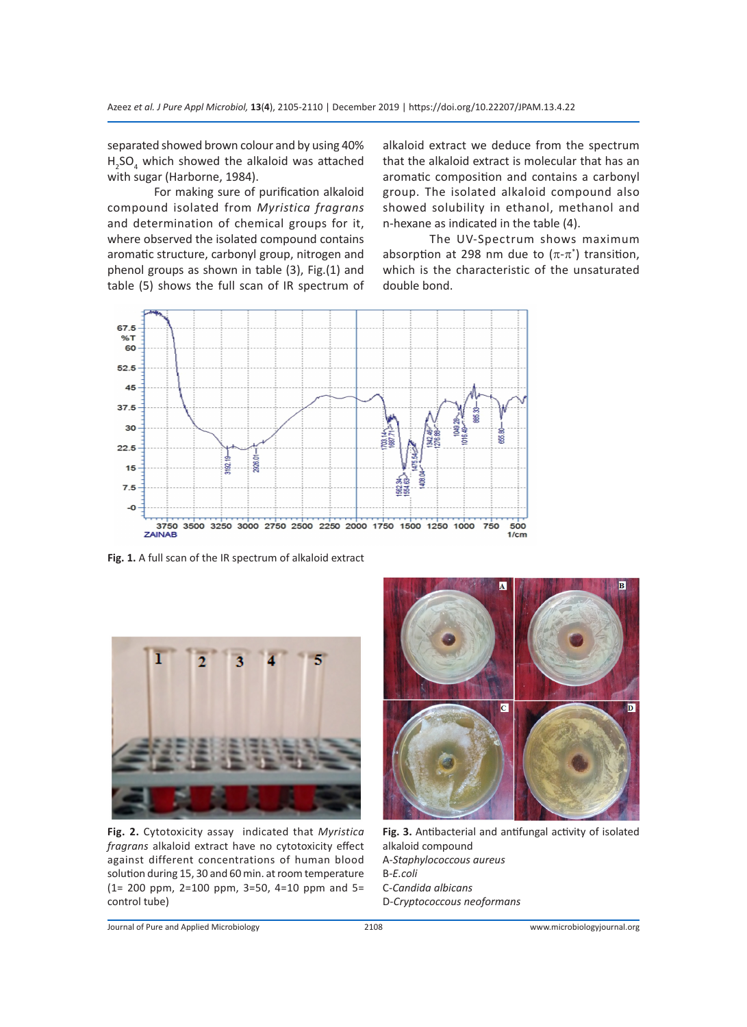separated showed brown colour and by using 40%  $H<sub>2</sub>SO<sub>4</sub>$  which showed the alkaloid was attached with sugar (Harborne, 1984).

For making sure of purification alkaloid compound isolated from *Myristica fragrans*  and determination of chemical groups for it, where observed the isolated compound contains aromatic structure, carbonyl group, nitrogen and phenol groups as shown in table (3), Fig.(1) and table (5) shows the full scan of IR spectrum of alkaloid extract we deduce from the spectrum that the alkaloid extract is molecular that has an aromatic composition and contains a carbonyl group. The isolated alkaloid compound also showed solubility in ethanol, methanol and n-hexane as indicated in the table (4).

The UV-Spectrum shows maximum absorption at 298 nm due to  $(\pi\text{-}\pi^*)$  transition, which is the characteristic of the unsaturated double bond.



**Fig. 1.** A full scan of the IR spectrum of alkaloid extract



**Fig. 2.** Cytotoxicity assay indicated that *Myristica fragrans* alkaloid extract have no cytotoxicity effect against different concentrations of human blood solution during 15, 30 and 60 min. at room temperature (1= 200 ppm, 2=100 ppm, 3=50, 4=10 ppm and 5= control tube)



**Fig. 3.** Antibacterial and antifungal activity of isolated alkaloid compound A-*Staphylococcous aureus* B*-E.coli* C-*Candida albicans* D-*Cryptococcous neoformans*

Journal of Pure and Applied Microbiology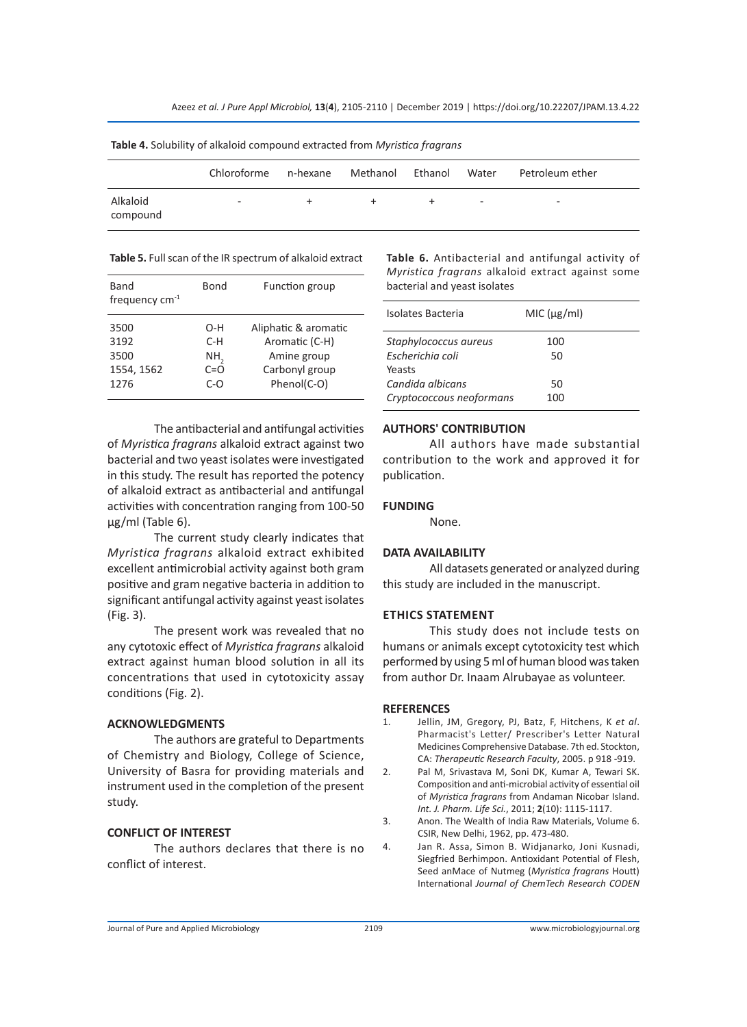| <b>TWEE IT SORRENTLY OF UNKNOW COMPOSITY CALIBULES IT ON THIS ISSUE FRAMEWING</b> |                          |          |          |         |       |                          |  |
|-----------------------------------------------------------------------------------|--------------------------|----------|----------|---------|-------|--------------------------|--|
|                                                                                   | Chloroforme              | n-hexane | Methanol | Ethanol | Water | Petroleum ether          |  |
| Alkaloid<br>compound                                                              | $\overline{\phantom{a}}$ | ÷        | ÷        | ÷       | ٠     | $\overline{\phantom{a}}$ |  |

**Table 4.** Solubility of alkaloid compound extracted from *Myristica fragrans*

| Table 5. Full scan of the IR spectrum of alkaloid extract |
|-----------------------------------------------------------|
|-----------------------------------------------------------|

| Band<br>frequency $cm^{-1}$                | Bond                                  | Function group                                                                         |
|--------------------------------------------|---------------------------------------|----------------------------------------------------------------------------------------|
| 3500<br>3192<br>3500<br>1554, 1562<br>1276 | O-H<br>C-H<br>NH,<br>$C = O$<br>$C-o$ | Aliphatic & aromatic<br>Aromatic (C-H)<br>Amine group<br>Carbonyl group<br>Phenol(C-O) |

The antibacterial and antifungal activities of *Myristica fragrans* alkaloid extract against two bacterial and two yeast isolates were investigated in this study. The result has reported the potency of alkaloid extract as antibacterial and antifungal activities with concentration ranging from 100-50 µg/ml (Table 6).

The current study clearly indicates that *Myristica fragrans* alkaloid extract exhibited excellent antimicrobial activity against both gram positive and gram negative bacteria in addition to significant antifungal activity against yeast isolates (Fig. 3).

The present work was revealed that no any cytotoxic effect of *Myristica fragrans* alkaloid extract against human blood solution in all its concentrations that used in cytotoxicity assay conditions (Fig. 2).

#### **ACKNOWLEDGMENTS**

The authors are grateful to Departments of Chemistry and Biology, College of Science, University of Basra for providing materials and instrument used in the completion of the present study.

# **CONFLICT OF INTEREST**

The authors declares that there is no conflict of interest.

**Table 6.** Antibacterial and antifungal activity of *Myristica fragrans* alkaloid extract against some bacterial and yeast isolates

| Isolates Bacteria        | MIC (ug/ml) |  |
|--------------------------|-------------|--|
| Staphylococcus aureus    | 100         |  |
| Escherichia coli         | 50          |  |
| Yeasts                   |             |  |
| Candida albicans         | 50          |  |
| Cryptococcous neoformans | 100         |  |

### **AUTHORS' CONTRIBUTION**

All authors have made substantial contribution to the work and approved it for publication.

#### **FUNDING**

None.

#### **DATA AVAILABILITY**

All datasets generated or analyzed during this study are included in the manuscript.

### **ETHICS STATEMENT**

This study does not include tests on humans or animals except cytotoxicity test which performed by using 5 ml of human blood was taken from author Dr. Inaam Alrubayae as volunteer.

#### **REFERENCES**

- 1. Jellin, JM, Gregory, PJ, Batz, F, Hitchens, K *et al*. Pharmacist's Letter/ Prescriber's Letter Natural Medicines Comprehensive Database. 7th ed. Stockton, CA: *Therapeutic Research Faculty*, 2005. p 918 -919.
- 2. Pal M, Srivastava M, Soni DK, Kumar A, Tewari SK. Composition and anti-microbial activity of essential oil of *Myristica fragrans* from Andaman Nicobar Island. *Int. J. Pharm. Life Sci.*, 2011; **2**(10): 1115-1117.
- 3. Anon. The Wealth of India Raw Materials, Volume 6. CSIR, New Delhi, 1962, pp. 473-480.
- 4. Jan R. Assa, Simon B. Widjanarko, Joni Kusnadi, Siegfried Berhimpon. Antioxidant Potential of Flesh, Seed anMace of Nutmeg (*Myristica fragrans* Houtt) International *Journal of ChemTech Research CODEN*

Journal of Pure and Applied Microbiology 2109 www.microbiologyjournal.org